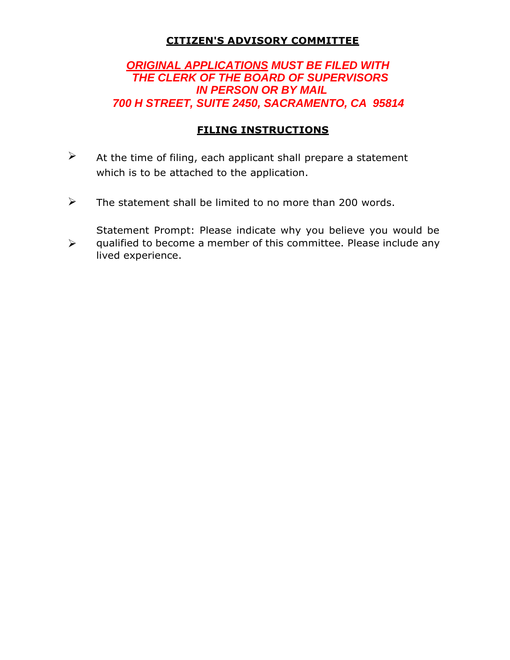### **CITIZEN'S ADVISORY COMMITTEE**

# *ORIGINAL APPLICATIONS MUST BE FILED WITH THE CLERK OF THE BOARD OF SUPERVISORS IN PERSON OR BY MAIL 700 H STREET, SUITE 2450, SACRAMENTO, CA 95814*

## **FILING INSTRUCTIONS**

- $\triangleright$  At the time of filing, each applicant shall prepare a statement which is to be attached to the application.
- $\triangleright$  The statement shall be limited to no more than 200 words.

Statement Prompt: Please indicate why you believe you would be qualified to become a member of this committee. Please include any

lived experience.

 $\blacktriangleright$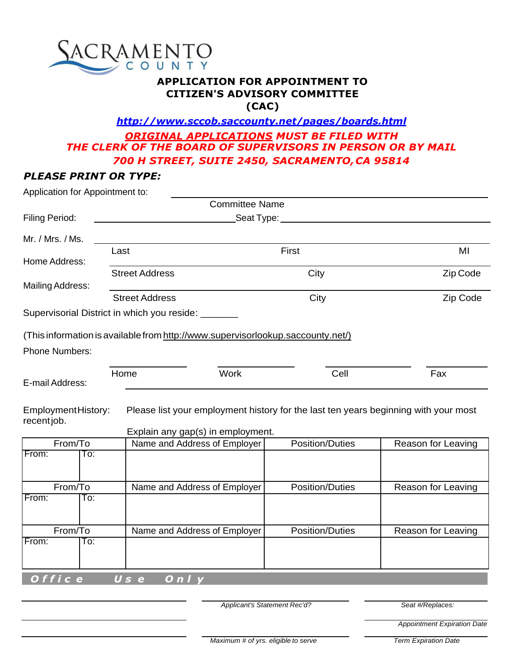

#### **APPLICATION FOR APPOINTMENT TO CITIZEN'S ADVISORY COMMITTEE (CAC)**

# *<http://www.sccob.saccounty.net/pages/boards.html> ORIGINAL APPLICATIONS MUST BE FILED WITH THE CLERK OF THE BOARD OF SUPERVISORS IN PERSON OR BY MAIL 700 H STREET, SUITE 2450, SACRAMENTO,CA 95814*

### *PLEASE PRINT OR TYPE:*

| Application for Appointment to:  |      |                                                                                                                          |                        |                    |
|----------------------------------|------|--------------------------------------------------------------------------------------------------------------------------|------------------------|--------------------|
|                                  |      | <b>Committee Name</b>                                                                                                    |                        |                    |
| Filing Period:                   |      | Seat Type:                                                                                                               |                        |                    |
| Mr. / Mrs. / Ms.                 |      |                                                                                                                          |                        |                    |
| Home Address:                    | Last |                                                                                                                          | First                  | MI                 |
|                                  |      | <b>Street Address</b>                                                                                                    | City                   | Zip Code           |
| <b>Mailing Address:</b>          |      |                                                                                                                          |                        |                    |
|                                  |      | <b>Street Address</b>                                                                                                    | City                   | Zip Code           |
|                                  |      | Supervisorial District in which you reside: ______                                                                       |                        |                    |
|                                  |      | (This information is available from http://www.supervisorlookup.saccounty.net/)                                          |                        |                    |
| <b>Phone Numbers:</b>            |      |                                                                                                                          |                        |                    |
| E-mail Address:                  |      | Home<br><b>Work</b>                                                                                                      | Cell                   | Fax                |
| EmploymentHistory:<br>recentjob. |      | Please list your employment history for the last ten years beginning with your most<br>Explain any gap(s) in employment. |                        |                    |
| From/To                          |      | Name and Address of Employer                                                                                             | <b>Position/Duties</b> | Reason for Leaving |
| From:<br>To:                     |      |                                                                                                                          |                        |                    |
| From/To                          |      | Name and Address of Employer                                                                                             | <b>Position/Duties</b> | Reason for Leaving |
| From:<br>To:                     |      |                                                                                                                          |                        |                    |
| From/To                          |      |                                                                                                                          | <b>Position/Duties</b> |                    |
| From:<br>To:                     |      | Name and Address of Employer                                                                                             |                        | Reason for Leaving |
|                                  |      |                                                                                                                          |                        |                    |
| Office                           |      | Use<br>On/y                                                                                                              |                        |                    |

*Applicant's Statement Rec'd? Seat #/Replaces:*

*Appointment Expiration Date*